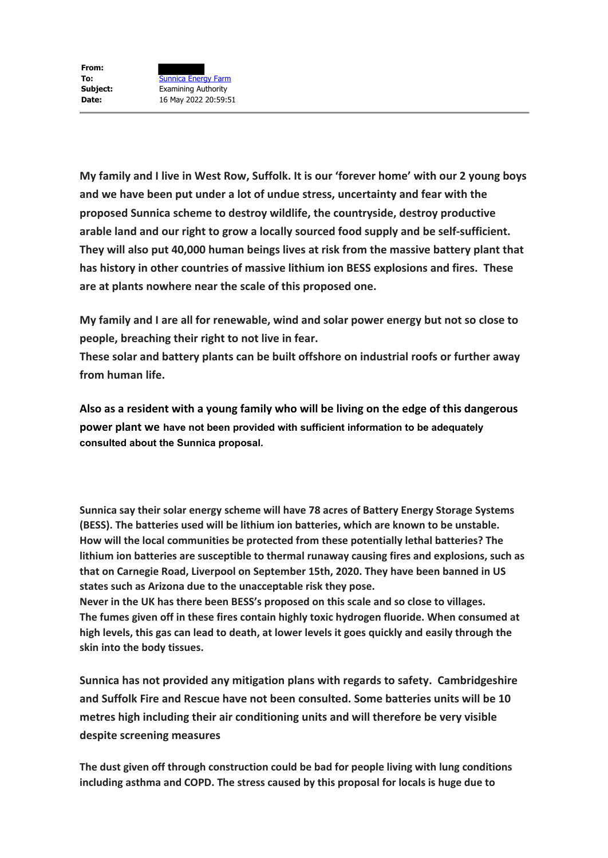**My family and I live in West Row, Suffolk. It is our 'forever home' with our 2 young boys and we have been put under a lot of undue stress, uncertainty and fear with the proposed Sunnica scheme to destroy wildlife, the countryside, destroy productive arable land and our right to grow a locally sourced food supply and be self-sufficient. They will also put 40,000 human beings lives at risk from the massive battery plant that has history in other countries of massive lithium ion BESS explosions and fires. These are at plants nowhere near the scale of this proposed one.**

**My family and I are all for renewable, wind and solar power energy but not so close to people, breaching their right to not live in fear.**

**These solar and battery plants can be built offshore on industrial roofs or further away from human life.**

**Also as a resident with a young family who will be living on the edge of this dangerous power plant we have not been provided with sufficient information to be adequately consulted about the Sunnica proposal.**

**Sunnica say their solar energy scheme will have 78 acres of Battery Energy Storage Systems (BESS). The batteries used will be lithium ion batteries, which are known to be unstable. How will the local communities be protected from these potentially lethal batteries? The lithium ion batteries are susceptible to thermal runaway causing fires and explosions, such as that on Carnegie Road, Liverpool on September 15th, 2020. They have been banned in US states such as Arizona due to the unacceptable risk they pose.**

**Never in the UK has there been BESS's proposed on this scale and so close to villages. The fumes given off in these fires contain highly toxic hydrogen fluoride. When consumed at high levels, this gas can lead to death, at lower levels it goes quickly and easily through the skin into the body tissues.**

**Sunnica has not provided any mitigation plans with regards to safety. Cambridgeshire and Suffolk Fire and Rescue have not been consulted. Some batteries units will be 10 metres high including their air conditioning units and will therefore be very visible despite screening measures**

**The dust given off through construction could be bad for people living with lung conditions including asthma and COPD. The stress caused by this proposal for locals is huge due to**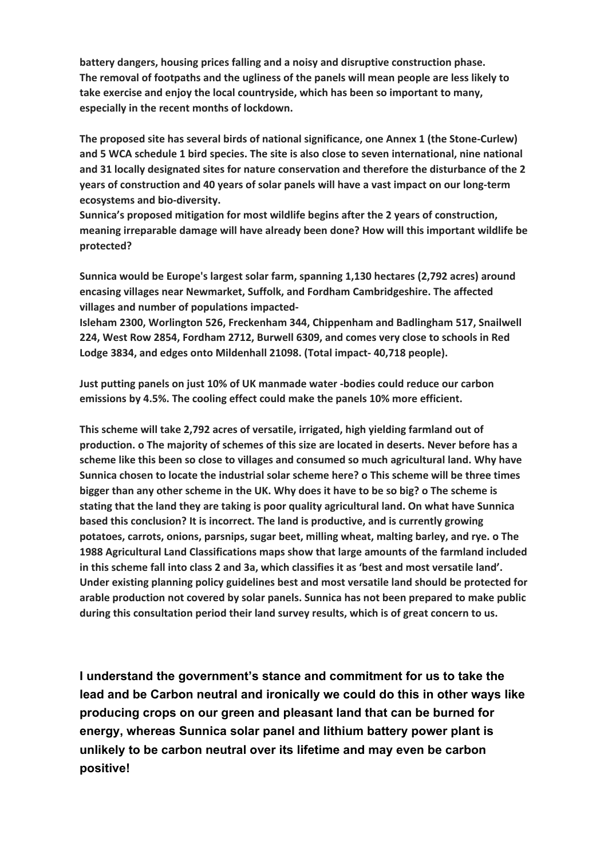**battery dangers, housing prices falling and a noisy and disruptive construction phase. The removal of footpaths and the ugliness of the panels will mean people are less likely to take exercise and enjoy the local countryside, which has been so important to many, especially in the recent months of lockdown.**

**The proposed site has several birds of national significance, one Annex 1 (the Stone-Curlew) and 5 WCA schedule 1 bird species. The site is also close to seven international, nine national and 31 locally designated sites for nature conservation and therefore the disturbance of the 2 years of construction and 40 years of solar panels will have a vast impact on our long-term ecosystems and bio-diversity.**

**Sunnica's proposed mitigation for most wildlife begins after the 2 years of construction, meaning irreparable damage will have already been done? How will this important wildlife be protected?**

**Sunnica would be Europe's largest solar farm, spanning 1,130 hectares (2,792 acres) around encasing villages near Newmarket, Suffolk, and Fordham Cambridgeshire. The affected villages and number of populations impacted-**

**Isleham 2300, Worlington 526, Freckenham 344, Chippenham and Badlingham 517, Snailwell 224, West Row 2854, Fordham 2712, Burwell 6309, and comes very close to schools in Red Lodge 3834, and edges onto Mildenhall 21098. (Total impact- 40,718 people).**

**Just putting panels on just 10% of UK manmade water -bodies could reduce our carbon emissions by 4.5%. The cooling effect could make the panels 10% more efficient.**

**This scheme will take 2,792 acres of versatile, irrigated, high yielding farmland out of production. o The majority of schemes of this size are located in deserts. Never before has a scheme like this been so close to villages and consumed so much agricultural land. Why have Sunnica chosen to locate the industrial solar scheme here? o This scheme will be three times bigger than any other scheme in the UK. Why does it have to be so big? o The scheme is stating that the land they are taking is poor quality agricultural land. On what have Sunnica based this conclusion? It is incorrect. The land is productive, and is currently growing potatoes, carrots, onions, parsnips, sugar beet, milling wheat, malting barley, and rye. o The 1988 Agricultural Land Classifications maps show that large amounts of the farmland included in this scheme fall into class 2 and 3a, which classifies it as 'best and most versatile land'. Under existing planning policy guidelines best and most versatile land should be protected for arable production not covered by solar panels. Sunnica has not been prepared to make public during this consultation period their land survey results, which is of great concern to us.**

**I understand the government's stance and commitment for us to take the lead and be Carbon neutral and ironically we could do this in other ways like producing crops on our green and pleasant land that can be burned for energy, whereas Sunnica solar panel and lithium battery power plant is unlikely to be carbon neutral over its lifetime and may even be carbon positive!**